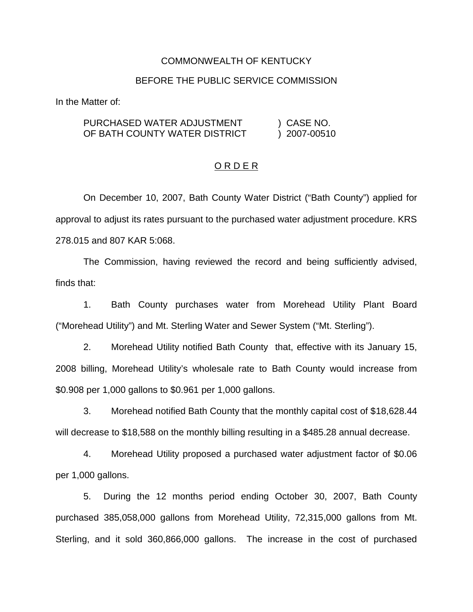### COMMONWEALTH OF KENTUCKY

#### BEFORE THE PUBLIC SERVICE COMMISSION

In the Matter of:

| PURCHASED WATER ADJUSTMENT    | ) CASE NO.   |
|-------------------------------|--------------|
| OF BATH COUNTY WATER DISTRICT | ) 2007-00510 |

### O R D E R

On December 10, 2007, Bath County Water District ("Bath County") applied for approval to adjust its rates pursuant to the purchased water adjustment procedure. KRS 278.015 and 807 KAR 5:068.

The Commission, having reviewed the record and being sufficiently advised, finds that:

1. Bath County purchases water from Morehead Utility Plant Board ("Morehead Utility") and Mt. Sterling Water and Sewer System ("Mt. Sterling").

2. Morehead Utility notified Bath County that, effective with its January 15, 2008 billing, Morehead Utility's wholesale rate to Bath County would increase from \$0.908 per 1,000 gallons to \$0.961 per 1,000 gallons.

3. Morehead notified Bath County that the monthly capital cost of \$18,628.44 will decrease to \$18,588 on the monthly billing resulting in a \$485.28 annual decrease.

4. Morehead Utility proposed a purchased water adjustment factor of \$0.06 per 1,000 gallons.

5. During the 12 months period ending October 30, 2007, Bath County purchased 385,058,000 gallons from Morehead Utility, 72,315,000 gallons from Mt. Sterling, and it sold 360,866,000 gallons. The increase in the cost of purchased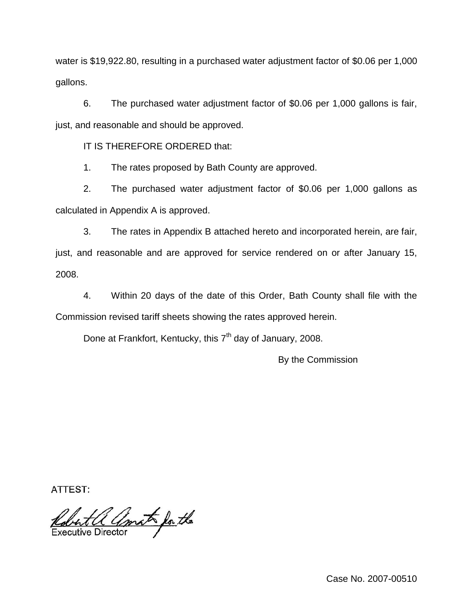water is \$19,922.80, resulting in a purchased water adjustment factor of \$0.06 per 1,000 gallons.

6. The purchased water adjustment factor of \$0.06 per 1,000 gallons is fair, just, and reasonable and should be approved.

IT IS THEREFORE ORDERED that:

1. The rates proposed by Bath County are approved.

2. The purchased water adjustment factor of \$0.06 per 1,000 gallons as calculated in Appendix A is approved.

3. The rates in Appendix B attached hereto and incorporated herein, are fair, just, and reasonable and are approved for service rendered on or after January 15, 2008.

4. Within 20 days of the date of this Order, Bath County shall file with the Commission revised tariff sheets showing the rates approved herein.

Done at Frankfort, Kentucky, this  $7<sup>th</sup>$  day of January, 2008.

By the Commission

**ATTEST:** 

Robert a amat for the

Case No. 2007-00510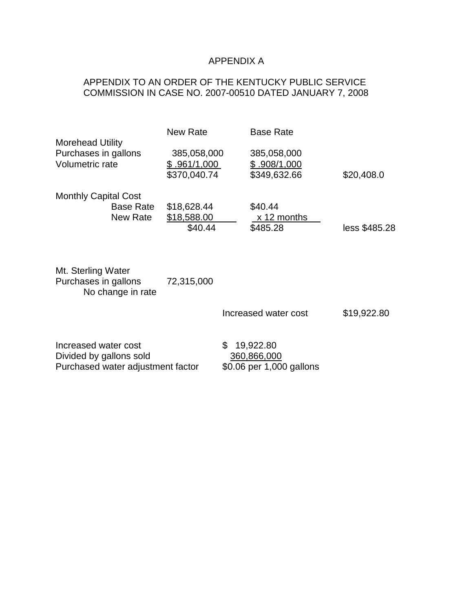# APPENDIX A

## APPENDIX TO AN ORDER OF THE KENTUCKY PUBLIC SERVICE COMMISSION IN CASE NO. 2007-00510 DATED JANUARY 7, 2008

|                                                                    | <b>New Rate</b>                             | <b>Base Rate</b>                            |               |
|--------------------------------------------------------------------|---------------------------------------------|---------------------------------------------|---------------|
| <b>Morehead Utility</b><br>Purchases in gallons<br>Volumetric rate | 385,058,000<br>\$.961/1,000<br>\$370,040.74 | 385,058,000<br>\$.908/1,000<br>\$349,632.66 | \$20,408.0    |
| <b>Monthly Capital Cost</b><br><b>Base Rate</b><br>New Rate        | \$18,628.44<br>\$18,588.00<br>\$40.44       | \$40.44<br>x 12 months<br>\$485.28          | less \$485.28 |
| Mt. Sterling Water<br>Purchases in gallons<br>No change in rate    | 72,315,000                                  | Increased water cost                        | \$19,922.80   |
| Increased water cost<br>Divided by gallons sold                    |                                             | \$<br>19,922.80<br>360,866,000              |               |

Purchased water adjustment factor \$0.06 per 1,000 gallons